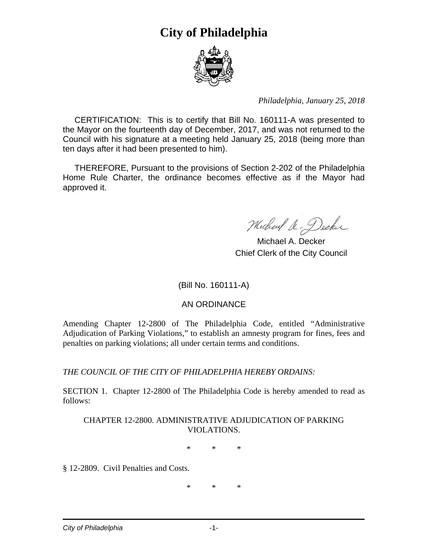

*Philadelphia, January 25, 2018* 

 CERTIFICATION: This is to certify that Bill No. 160111-A was presented to the Mayor on the fourteenth day of December, 2017, and was not returned to the Council with his signature at a meeting held January 25, 2018 (being more than ten days after it had been presented to him).

 THEREFORE, Pursuant to the provisions of Section 2-202 of the Philadelphia Home Rule Charter, the ordinance becomes effective as if the Mayor had approved it.

Michael a. Decker

 Michael A. Decker Chief Clerk of the City Council

### (Bill No. 160111-A)

### AN ORDINANCE

Amending Chapter 12-2800 of The Philadelphia Code, entitled "Administrative Adjudication of Parking Violations," to establish an amnesty program for fines, fees and penalties on parking violations; all under certain terms and conditions.

*THE COUNCIL OF THE CITY OF PHILADELPHIA HEREBY ORDAINS:* 

SECTION 1. Chapter 12-2800 of The Philadelphia Code is hereby amended to read as follows:

#### CHAPTER 12-2800. ADMINISTRATIVE ADJUDICATION OF PARKING VIOLATIONS.

\* \* \*

§ 12-2809. Civil Penalties and Costs.

\* \* \*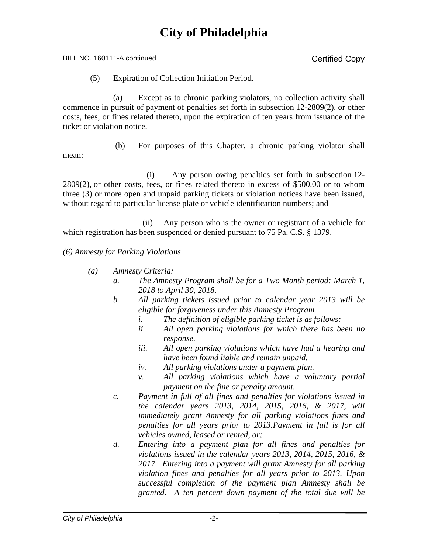BILL NO. 160111-A continued Copy

(5) Expiration of Collection Initiation Period.

 (a) Except as to chronic parking violators, no collection activity shall commence in pursuit of payment of penalties set forth in subsection 12-2809(2), or other costs, fees, or fines related thereto, upon the expiration of ten years from issuance of the ticket or violation notice.

mean:

(b) For purposes of this Chapter, a chronic parking violator shall

(i) Any person owing penalties set forth in subsection 12- 2809(2), or other costs, fees, or fines related thereto in excess of \$500.00 or to whom three (3) or more open and unpaid parking tickets or violation notices have been issued, without regard to particular license plate or vehicle identification numbers; and

 (ii) Any person who is the owner or registrant of a vehicle for which registration has been suspended or denied pursuant to 75 Pa. C.S. § 1379.

#### *(6) Amnesty for Parking Violations*

- *(a) Amnesty Criteria:* 
	- *a. The Amnesty Program shall be for a Two Month period: March 1, 2018 to April 30, 2018.*
	- *b. All parking tickets issued prior to calendar year 2013 will be eligible for forgiveness under this Amnesty Program.* 
		- *i. The definition of eligible parking ticket is as follows:*
		- *ii. All open parking violations for which there has been no response.*
		- *iii. All open parking violations which have had a hearing and have been found liable and remain unpaid.*
		- *iv. All parking violations under a payment plan.*
		- *v. All parking violations which have a voluntary partial payment on the fine or penalty amount.*
	- *c. Payment in full of all fines and penalties for violations issued in the calendar years 2013, 2014, 2015, 2016, & 2017, will immediately grant Amnesty for all parking violations fines and penalties for all years prior to 2013.Payment in full is for all vehicles owned, leased or rented, or;*
	- *d. Entering into a payment plan for all fines and penalties for violations issued in the calendar years 2013, 2014, 2015, 2016, & 2017. Entering into a payment will grant Amnesty for all parking violation fines and penalties for all years prior to 2013. Upon successful completion of the payment plan Amnesty shall be granted. A ten percent down payment of the total due will be*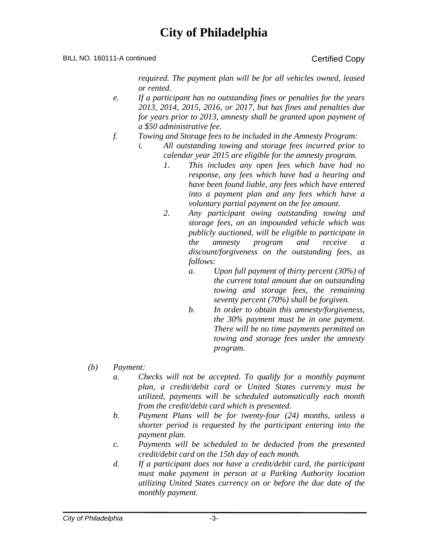#### BILL NO. 160111-A continued Certified Copy

*required. The payment plan will be for all vehicles owned, leased or rented.* 

- *e. If a participant has no outstanding fines or penalties for the years 2013, 2014, 2015, 2016, or 2017, but has fines and penalties due for years prior to 2013, amnesty shall be granted upon payment of a \$50 administrative fee.*
- *f. Towing and Storage fees to be included in the Amnesty Program:* 
	- *i. All outstanding towing and storage fees incurred prior to calendar year 2015 are eligible for the amnesty program.* 
		- *1. This includes any open fees which have had no response, any fees which have had a hearing and have been found liable, any fees which have entered into a payment plan and any fees which have a voluntary partial payment on the fee amount.*
		- *2. Any participant owing outstanding towing and storage fees, on an impounded vehicle which was publicly auctioned, will be eligible to participate in the amnesty program and receive a discount/forgiveness on the outstanding fees, as follows:* 
			- *a. Upon full payment of thirty percent (30%) of the current total amount due on outstanding towing and storage fees, the remaining seventy percent (70%) shall be forgiven.*
			- *b. In order to obtain this amnesty/forgiveness, the 30% payment must be in one payment. There will be no time payments permitted on towing and storage fees under the amnesty program.*
- *(b) Payment:* 
	- *a. Checks will not be accepted. To qualify for a monthly payment plan, a credit/debit card or United States currency must be utilized, payments will be scheduled automatically each month from the credit/debit card which is presented.*
	- *b. Payment Plans will be for twenty-four (24) months, unless a shorter period is requested by the participant entering into the payment plan.*
	- *c. Payments will be scheduled to be deducted from the presented credit/debit card on the 15th day of each month.*
	- *d. If a participant does not have a credit/debit card, the participant must make payment in person at a Parking Authority location utilizing United States currency on or before the due date of the monthly payment.*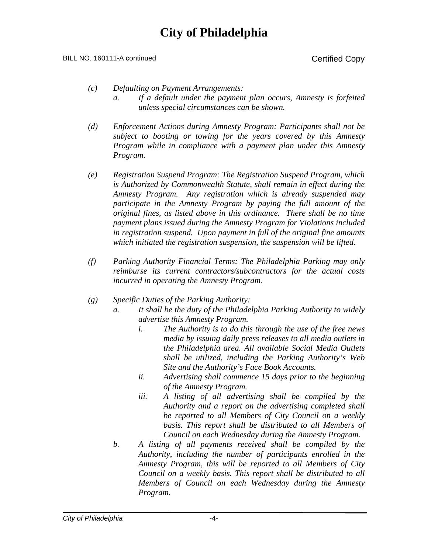BILL NO. 160111-A continued Certified Copy

- *(c) Defaulting on Payment Arrangements:* 
	- *a. If a default under the payment plan occurs, Amnesty is forfeited unless special circumstances can be shown.*
- *(d) Enforcement Actions during Amnesty Program: Participants shall not be subject to booting or towing for the years covered by this Amnesty Program while in compliance with a payment plan under this Amnesty Program.*
- *(e) Registration Suspend Program: The Registration Suspend Program, which is Authorized by Commonwealth Statute, shall remain in effect during the Amnesty Program. Any registration which is already suspended may participate in the Amnesty Program by paying the full amount of the original fines, as listed above in this ordinance. There shall be no time payment plans issued during the Amnesty Program for Violations included in registration suspend. Upon payment in full of the original fine amounts which initiated the registration suspension, the suspension will be lifted.*
- *(f) Parking Authority Financial Terms: The Philadelphia Parking may only reimburse its current contractors/subcontractors for the actual costs incurred in operating the Amnesty Program.*
- *(g) Specific Duties of the Parking Authority:* 
	- *a. It shall be the duty of the Philadelphia Parking Authority to widely advertise this Amnesty Program.* 
		- *i. The Authority is to do this through the use of the free news media by issuing daily press releases to all media outlets in the Philadelphia area. All available Social Media Outlets shall be utilized, including the Parking Authority's Web Site and the Authority's Face Book Accounts.*
		- *ii. Advertising shall commence 15 days prior to the beginning of the Amnesty Program.*
		- *iii. A listing of all advertising shall be compiled by the Authority and a report on the advertising completed shall be reported to all Members of City Council on a weekly basis. This report shall be distributed to all Members of Council on each Wednesday during the Amnesty Program.*
	- *b. A listing of all payments received shall be compiled by the Authority, including the number of participants enrolled in the Amnesty Program, this will be reported to all Members of City Council on a weekly basis. This report shall be distributed to all Members of Council on each Wednesday during the Amnesty Program.*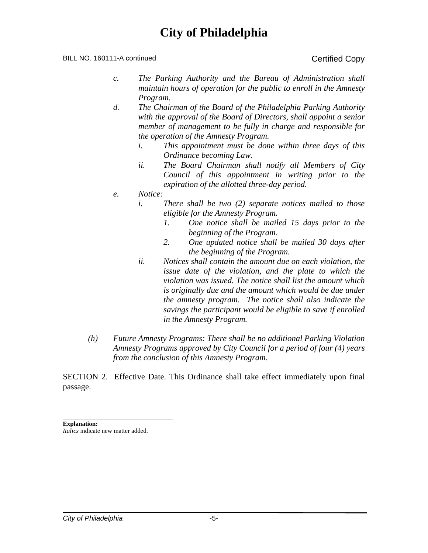#### BILL NO. 160111-A continued Certified Copy

- *c. The Parking Authority and the Bureau of Administration shall maintain hours of operation for the public to enroll in the Amnesty Program.*
- *d. The Chairman of the Board of the Philadelphia Parking Authority with the approval of the Board of Directors, shall appoint a senior member of management to be fully in charge and responsible for the operation of the Amnesty Program.* 
	- *i. This appointment must be done within three days of this Ordinance becoming Law.*
	- *ii. The Board Chairman shall notify all Members of City Council of this appointment in writing prior to the expiration of the allotted three-day period.*
- *e. Notice:* 
	- *i. There shall be two (2) separate notices mailed to those eligible for the Amnesty Program.* 
		- *1. One notice shall be mailed 15 days prior to the beginning of the Program.*
		- *2. One updated notice shall be mailed 30 days after the beginning of the Program.*
	- *ii. Notices shall contain the amount due on each violation, the issue date of the violation, and the plate to which the violation was issued. The notice shall list the amount which is originally due and the amount which would be due under the amnesty program. The notice shall also indicate the savings the participant would be eligible to save if enrolled in the Amnesty Program.*
- *(h) Future Amnesty Programs: There shall be no additional Parking Violation Amnesty Programs approved by City Council for a period of four (4) years from the conclusion of this Amnesty Program.*

SECTION 2. Effective Date. This Ordinance shall take effect immediately upon final passage.

\_\_\_\_\_\_\_\_\_\_\_\_\_\_\_\_\_\_\_\_\_\_\_\_\_\_\_\_\_\_\_\_\_\_\_ **Explanation:**  *Italics* indicate new matter added.